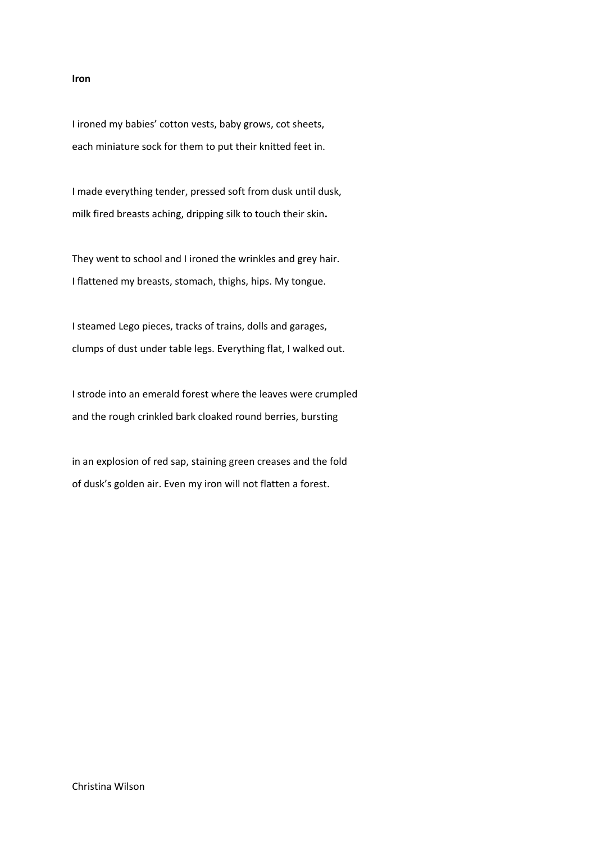## **Iron**

I ironed my babies' cotton vests, baby grows, cot sheets, each miniature sock for them to put their knitted feet in.

I made everything tender, pressed soft from dusk until dusk, milk fired breasts aching, dripping silk to touch their skin**.**

They went to school and I ironed the wrinkles and grey hair. I flattened my breasts, stomach, thighs, hips. My tongue.

I steamed Lego pieces, tracks of trains, dolls and garages, clumps of dust under table legs. Everything flat, I walked out.

I strode into an emerald forest where the leaves were crumpled and the rough crinkled bark cloaked round berries, bursting

in an explosion of red sap, staining green creases and the fold of dusk's golden air. Even my iron will not flatten a forest.